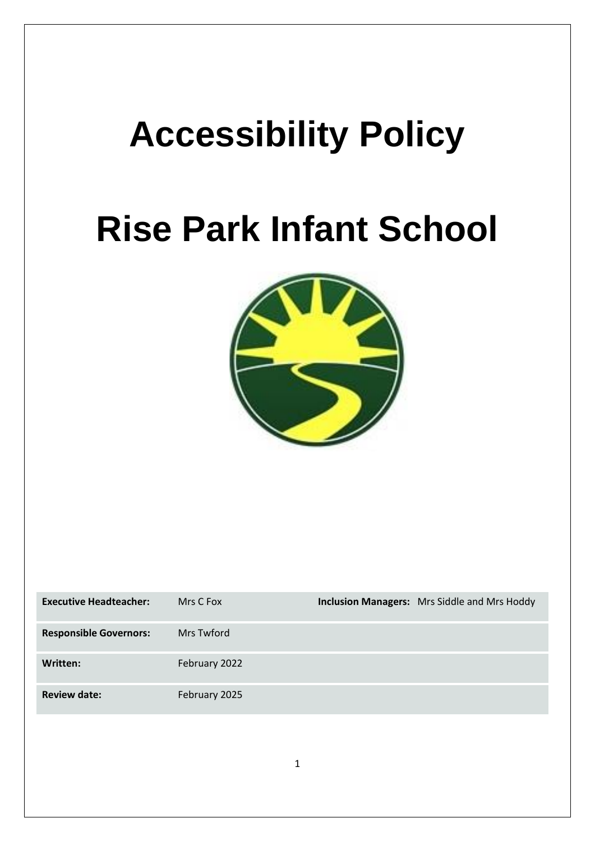# **Accessibility Policy**

## **Rise Park Infant School**



| <b>Executive Headteacher:</b> | Mrs C Fox     | <b>Inclusion Managers:</b> Mrs Siddle and Mrs Hoddy |
|-------------------------------|---------------|-----------------------------------------------------|
| <b>Responsible Governors:</b> | Mrs Twford    |                                                     |
| Written:                      | February 2022 |                                                     |
| <b>Review date:</b>           | February 2025 |                                                     |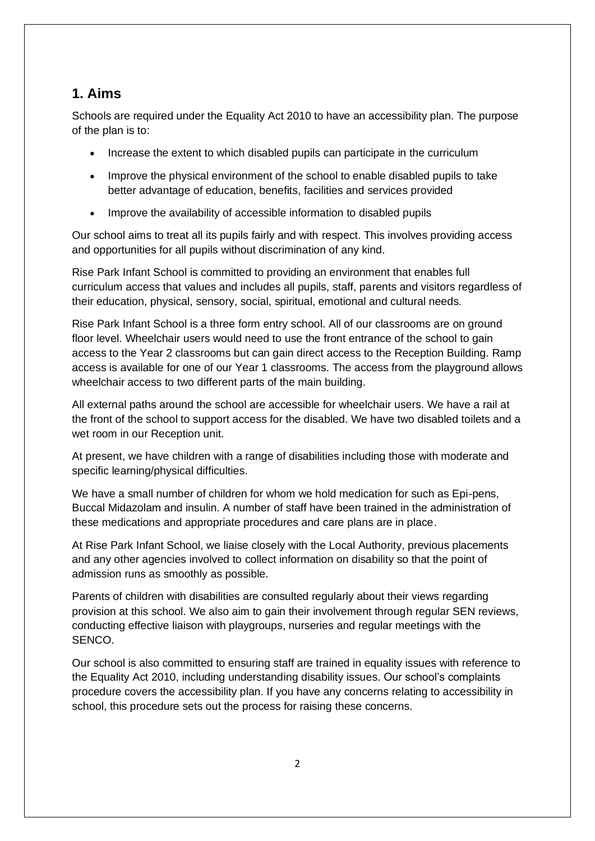### **1. Aims**

Schools are required under the Equality Act 2010 to have an accessibility plan. The purpose of the plan is to:

- Increase the extent to which disabled pupils can participate in the curriculum
- Improve the physical environment of the school to enable disabled pupils to take better advantage of education, benefits, facilities and services provided
- Improve the availability of accessible information to disabled pupils

Our school aims to treat all its pupils fairly and with respect. This involves providing access and opportunities for all pupils without discrimination of any kind.

Rise Park Infant School is committed to providing an environment that enables full curriculum access that values and includes all pupils, staff, parents and visitors regardless of their education, physical, sensory, social, spiritual, emotional and cultural needs.

Rise Park Infant School is a three form entry school. All of our classrooms are on ground floor level. Wheelchair users would need to use the front entrance of the school to gain access to the Year 2 classrooms but can gain direct access to the Reception Building. Ramp access is available for one of our Year 1 classrooms. The access from the playground allows wheelchair access to two different parts of the main building.

All external paths around the school are accessible for wheelchair users. We have a rail at the front of the school to support access for the disabled. We have two disabled toilets and a wet room in our Reception unit.

At present, we have children with a range of disabilities including those with moderate and specific learning/physical difficulties.

We have a small number of children for whom we hold medication for such as Epi-pens, Buccal Midazolam and insulin. A number of staff have been trained in the administration of these medications and appropriate procedures and care plans are in place.

At Rise Park Infant School, we liaise closely with the Local Authority, previous placements and any other agencies involved to collect information on disability so that the point of admission runs as smoothly as possible.

Parents of children with disabilities are consulted regularly about their views regarding provision at this school. We also aim to gain their involvement through regular SEN reviews, conducting effective liaison with playgroups, nurseries and regular meetings with the SENCO.

Our school is also committed to ensuring staff are trained in equality issues with reference to the Equality Act 2010, including understanding disability issues. Our school's complaints procedure covers the accessibility plan. If you have any concerns relating to accessibility in school, this procedure sets out the process for raising these concerns.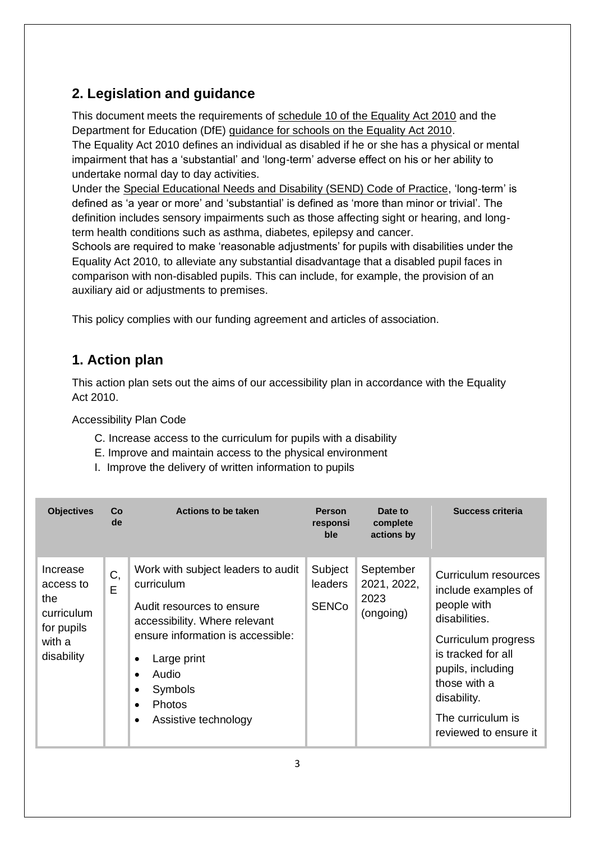## **2. Legislation and guidance**

This document meets the requirements of [schedule 10 of the Equality Act 2010](http://www.legislation.gov.uk/ukpga/2010/15/schedule/10) and the Department for Education (DfE) [guidance for schools on the Equality Act 2010.](https://www.gov.uk/government/publications/equality-act-2010-advice-for-schools)

The Equality Act 2010 defines an individual as disabled if he or she has a physical or mental impairment that has a 'substantial' and 'long-term' adverse effect on his or her ability to undertake normal day to day activities.

Under the [Special Educational Needs and Disability \(SEND\) Code of Practice,](https://www.gov.uk/government/publications/send-code-of-practice-0-to-25) 'long-term' is defined as 'a year or more' and 'substantial' is defined as 'more than minor or trivial'. The definition includes sensory impairments such as those affecting sight or hearing, and longterm health conditions such as asthma, diabetes, epilepsy and cancer.

Schools are required to make 'reasonable adjustments' for pupils with disabilities under the Equality Act 2010, to alleviate any substantial disadvantage that a disabled pupil faces in comparison with non-disabled pupils. This can include, for example, the provision of an auxiliary aid or adjustments to premises.

This policy complies with our funding agreement and articles of association.

## **1. Action plan**

This action plan sets out the aims of our accessibility plan in accordance with the Equality Act 2010.

Accessibility Plan Code

- C. Increase access to the curriculum for pupils with a disability
- E. Improve and maintain access to the physical environment
- I. Improve the delivery of written information to pupils

| <b>Objectives</b>                                                                | Co<br>de | Actions to be taken                                                                                                                                                                                                                          | <b>Person</b><br>responsi<br>ble          | Date to<br>complete<br>actions by             | Success criteria                                                                                                                                                                                                           |
|----------------------------------------------------------------------------------|----------|----------------------------------------------------------------------------------------------------------------------------------------------------------------------------------------------------------------------------------------------|-------------------------------------------|-----------------------------------------------|----------------------------------------------------------------------------------------------------------------------------------------------------------------------------------------------------------------------------|
| Increase<br>access to<br>the<br>curriculum<br>for pupils<br>with a<br>disability | C,<br>E  | Work with subject leaders to audit<br>curriculum<br>Audit resources to ensure<br>accessibility. Where relevant<br>ensure information is accessible:<br>Large print<br>Audio<br>$\bullet$<br>Symbols<br><b>Photos</b><br>Assistive technology | Subject<br><b>leaders</b><br><b>SENCo</b> | September<br>2021, 2022,<br>2023<br>(ongoing) | Curriculum resources<br>include examples of<br>people with<br>disabilities.<br>Curriculum progress<br>is tracked for all<br>pupils, including<br>those with a<br>disability.<br>The curriculum is<br>reviewed to ensure it |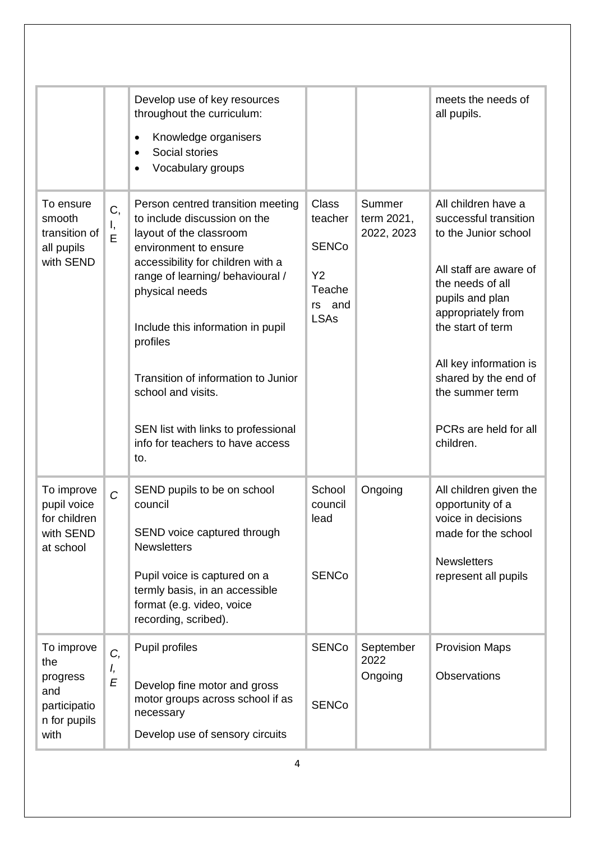|                                                                              |                | Develop use of key resources<br>throughout the curriculum:<br>Knowledge organisers<br>$\bullet$<br>Social stories<br>Vocabulary groups                                                                                                                                                                                                                                                                           |                                                                                  |                                    | meets the needs of<br>all pupils.                                                                                                                                                                                                                                                           |
|------------------------------------------------------------------------------|----------------|------------------------------------------------------------------------------------------------------------------------------------------------------------------------------------------------------------------------------------------------------------------------------------------------------------------------------------------------------------------------------------------------------------------|----------------------------------------------------------------------------------|------------------------------------|---------------------------------------------------------------------------------------------------------------------------------------------------------------------------------------------------------------------------------------------------------------------------------------------|
| To ensure<br>smooth<br>transition of<br>all pupils<br>with SEND              | C,<br>I,<br>E  | Person centred transition meeting<br>to include discussion on the<br>layout of the classroom<br>environment to ensure<br>accessibility for children with a<br>range of learning/ behavioural /<br>physical needs<br>Include this information in pupil<br>profiles<br>Transition of information to Junior<br>school and visits.<br>SEN list with links to professional<br>info for teachers to have access<br>to. | <b>Class</b><br>teacher<br><b>SENCo</b><br>Y2<br>Teache<br>rs and<br><b>LSAs</b> | Summer<br>term 2021,<br>2022, 2023 | All children have a<br>successful transition<br>to the Junior school<br>All staff are aware of<br>the needs of all<br>pupils and plan<br>appropriately from<br>the start of term<br>All key information is<br>shared by the end of<br>the summer term<br>PCRs are held for all<br>children. |
| To improve<br>pupil voice<br>for children<br>with SEND<br>at school          | $\overline{C}$ | SEND pupils to be on school<br>council<br>SEND voice captured through<br><b>Newsletters</b><br>Pupil voice is captured on a<br>termly basis, in an accessible<br>format (e.g. video, voice<br>recording, scribed).                                                                                                                                                                                               | School<br>council<br>lead<br><b>SENCo</b>                                        | Ongoing                            | All children given the<br>opportunity of a<br>voice in decisions<br>made for the school<br><b>Newsletters</b><br>represent all pupils                                                                                                                                                       |
| To improve<br>the<br>progress<br>and<br>participatio<br>n for pupils<br>with | C,<br>I,<br>E  | Pupil profiles<br>Develop fine motor and gross<br>motor groups across school if as<br>necessary<br>Develop use of sensory circuits                                                                                                                                                                                                                                                                               | <b>SENCo</b><br><b>SENCo</b>                                                     | September<br>2022<br>Ongoing       | <b>Provision Maps</b><br>Observations                                                                                                                                                                                                                                                       |